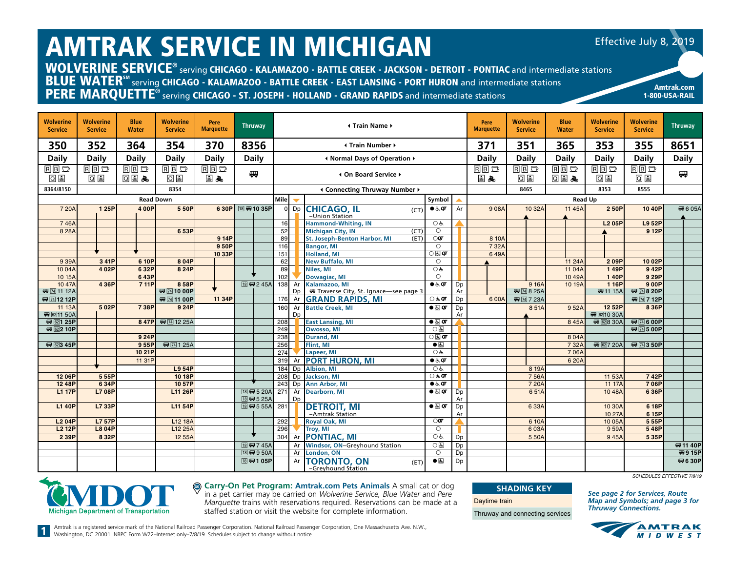# AMTRAK SERVICE IN MICHIGAN Effective July 8, 2019

WOLVERINE SERVICE ® serving CHICAGO - KALAMAZOO - BATTLE CREEK - JACKSON - DETROIT - PONTIAC and intermediate stations BLUE WATER<sup>SM</sup> serving CHICAGO - KALAMAZOO - BATTLE CREEK - EAST LANSING - PORT HURON and intermediate stations  $\sf PERE~MARQUETTE^{\circ}$  serving CHICAGO - ST. JOSEPH - HOLLAND - GRAND RAPIDS and intermediate stations

| <b>Wolverine</b><br><b>Service</b> | <b>Wolverine</b><br><b>Service</b> | <b>Blue</b><br><b>Water</b> | <b>Wolverine</b><br><b>Service</b> | Pere<br><b>Marquette</b> | <b>Thruway</b> |                        |                  |                      | International + Train Name +                 |                                                                |          | Pere<br><b>Marquette</b> | <b>Wolverine</b><br><b>Service</b> |                   | <b>Blue</b><br><b>Water</b> | <b>Wolverine</b><br><b>Service</b>       | <b>Wolverine</b><br><b>Service</b> |      | <b>Thruway</b> |
|------------------------------------|------------------------------------|-----------------------------|------------------------------------|--------------------------|----------------|------------------------|------------------|----------------------|----------------------------------------------|----------------------------------------------------------------|----------|--------------------------|------------------------------------|-------------------|-----------------------------|------------------------------------------|------------------------------------|------|----------------|
| 350                                | 352                                | 364                         | 354                                | 370                      | 8356           |                        |                  |                      | <b>4 Train Number ▶</b>                      |                                                                |          | 371                      | 351                                |                   | 365                         | 353                                      | 355                                | 8651 |                |
| <b>Daily</b>                       | <b>Daily</b>                       | <b>Daily</b>                | <b>Daily</b>                       | <b>Daily</b>             | <b>Daily</b>   |                        |                  |                      | In Normal Days of Operation ♦                |                                                                |          | <b>Daily</b>             | <b>Daily</b>                       |                   | <b>Daily</b>                | <b>Daily</b>                             | <b>Daily</b>                       |      | <b>Daily</b>   |
| $\overline{BB}$                    | $\overline{BB}$                    | $\overline{BB}$             | $\overline{BB}$                    | $\overline{BB}$          |                |                        |                  |                      |                                              |                                                                |          | $R$ $B$ $D$              | $\overline{BB}$                    |                   | $\overline{BB}$             | $\overline{BB}$                          | $\overline{BB}$                    |      |                |
| $Q_{\odot}$                        | 00                                 | 03 元                        | 08                                 | 国品                       | 冊              |                        |                  |                      | I On Board Service ▶                         |                                                                |          | 国义                       | 回国                                 |                   | 08 元                        | 回国                                       | Q                                  | 冊    |                |
| 8364/8150                          |                                    |                             | 8354                               |                          |                |                        |                  |                      | Interviewal Connecting Thruway Number        |                                                                |          |                          | 8465                               |                   |                             | 8353                                     | 8555                               |      |                |
|                                    |                                    | <b>Read Down</b>            |                                    |                          |                |                        | Mile             |                      |                                              | Symbol                                                         |          |                          |                                    |                   | <b>Read Up</b>              |                                          |                                    |      |                |
| 7 20A                              | 125P                               | 400P                        | 550P                               | 630P                     | 图 + 10 35P     |                        |                  |                      | <sup>0</sup> Dp CHICAGO, IL<br>(CT)          | $\bullet \in \mathsf{QT}$                                      | Ar       | 908A                     |                                    | 10 32A            | 11 45A                      | 250P                                     | 10 40P                             |      | <b>四605A</b>   |
| 746A                               |                                    |                             |                                    |                          |                |                        | 16               |                      | -Union Station<br><b>Hammond-Whiting, IN</b> | O                                                              |          |                          |                                    |                   |                             | <b>L205P</b>                             | L9 52P                             |      |                |
| 828A                               |                                    |                             | 653P                               |                          |                |                        | 52               |                      | <b>Michigan City, IN</b><br>(CT)             | $\circ$                                                        |          |                          |                                    |                   |                             |                                          | 9 12P                              |      |                |
|                                    |                                    |                             |                                    | 9 14P                    |                |                        | 89               |                      | <b>St. Joseph-Benton Harbor, MI</b><br>(ET)  | $\overline{or}$                                                |          | 8 10A                    |                                    |                   |                             |                                          |                                    |      |                |
|                                    |                                    |                             |                                    | 950P                     |                |                        | 116              |                      | <b>Bangor, MI</b>                            | $\circ$                                                        |          | 7 32A                    |                                    |                   |                             |                                          |                                    |      |                |
|                                    |                                    |                             |                                    | 1033P                    |                |                        | 151              |                      | <b>Holland, MI</b>                           | $\overline{\circ}$                                             |          | 649A                     |                                    |                   |                             |                                          |                                    |      |                |
| 9 39A                              | 341P                               | 6 10P                       | 804P                               |                          |                |                        | 62               |                      | <b>New Buffalo, MI</b>                       | $\circ$<br>$\overline{\circ}$                                  |          |                          |                                    |                   | 11 24 A                     | 209P                                     | 10 02P                             |      |                |
| 1004A<br>10 15A                    | 4 0 2 P                            | 632P<br>643P                | 8 24P                              |                          |                |                        | 89<br>102        |                      | <b>Niles, MI</b><br>Dowagiac, MI             | $\overline{\circ}$                                             |          |                          |                                    |                   | 11 04A<br>1049A             | 149P<br>140P                             | 942P<br>9 29P                      |      |                |
| 10 47A                             | 4 36P                              | 711P                        | 858P                               |                          |                | <b>18 栗 2 45A</b>      | 138              | Ar                   | Kalamazoo, MI                                | $\bullet \in \sigma$                                           | Dp       |                          |                                    | 9 16A             | 10 19A                      | 1 16P                                    | 900P                               |      |                |
| <b>四</b> 74 11 12A                 |                                    |                             | <b>四</b> 74 10 00P                 |                          |                |                        |                  | Dp                   | ₩ Traverse City, St. Ignace-see page 3       |                                                                | Ar       |                          |                                    | <b>四</b> 74 8 25A |                             | ₩ 11 15A                                 | (四 74 8 20 P                       |      |                |
| ₩ 24 12 12 P                       |                                    |                             | 要 [74 11 00 P]                     | 11 34P                   |                |                        | 176              |                      | Ar GRAND RAPIDS, MI                          | ि ऊं. एा                                                       | Dp       | 6 00A                    |                                    | <b>四</b> 74 7 23A |                             |                                          | <b>四</b> 74 7 12P                  |      |                |
| 11 13A                             | 502P                               | 738P                        | 9 24P                              |                          |                |                        | 160              | Ar                   | <b>Battle Creek, MI</b>                      | $\bullet \boxtimes \sigma$                                     | Dp       |                          |                                    | 851A              | 9 52A                       | 12 52P                                   | 8 36P                              |      |                |
| <b>要 6211 50A</b><br>(四) 621 25P   |                                    |                             | 8 47P   四 74 12 25A                |                          |                |                        | 208              | <b>D<sub>D</sub></b> | <b>East Lansing, MI</b>                      | $\overline{\bullet}$ $\overline{\bullet}$ $\overline{\sigma}$  | Ar       |                          |                                    |                   | 845A                        | <b>四</b> [62] 10 30A<br><b>四</b> 628 30A | <b>要 246 00P</b>                   |      |                |
| (四) 622 10 P                       |                                    |                             |                                    |                          |                |                        | 249              |                      | <b>Owosso, MI</b>                            | $\overline{O}$                                                 |          |                          |                                    |                   |                             |                                          | (四 区 5 00P                         |      |                |
|                                    |                                    | 9 24P                       |                                    |                          |                |                        | 238              |                      | <b>Durand, MI</b>                            | $\overline{\circ}$ $\overline{\circ}$                          |          |                          |                                    |                   | 804A                        |                                          |                                    |      |                |
| (四 623 45P                         |                                    | 955P                        | <b>四</b> 74 1 25 A                 |                          |                |                        | 256              |                      | Flint, MI                                    | $\overline{\bullet}$                                           |          |                          |                                    |                   | 732A                        | <b>要 627 20A</b>                         | <b>要 74 3 50P</b>                  |      |                |
|                                    |                                    | 10 21P                      |                                    |                          |                |                        | $\overline{274}$ |                      | Lapeer, MI                                   | O                                                              |          |                          |                                    |                   | 706A                        |                                          |                                    |      |                |
|                                    |                                    | 11 31P                      |                                    |                          |                |                        | 319              | Ar                   | <b>PORT HURON, MI</b>                        | $\bullet$ & $q$                                                |          |                          |                                    |                   | 620A                        |                                          |                                    |      |                |
|                                    |                                    |                             | L9 54P                             |                          |                |                        | 184              |                      | Dp Albion, MI                                | O                                                              |          |                          |                                    | 8 19A             |                             |                                          |                                    |      |                |
| 12 06P                             | 555P                               |                             | 10 18P                             |                          |                |                        | 208              |                      | Dp Jackson, MI                               | $O$ ऊं. पा                                                     |          |                          |                                    | 7 56A             |                             | 11 53A                                   | 742P                               |      |                |
| 12 48P                             | 634P                               |                             | 10 57P                             |                          |                |                        | 243              |                      | Dp Ann Arbor, MI                             | $\bullet$ & $q$                                                |          |                          |                                    | 7 20A             |                             | 11 17A                                   | 706P                               |      |                |
| <b>L1 17P</b>                      | <b>L7 08P</b>                      |                             | L11 26P                            |                          |                | 18 +5 20A<br>18 +5 25A | 271              | Ar<br>Dp             | <b>Dearborn, MI</b>                          | $\overline{\bullet}$ $\overline{\bullet}$ $\overline{\bullet}$ | Dp<br>Ar |                          |                                    | 651A              |                             | 1048A                                    | 636P                               |      |                |
| <b>L1 40P</b>                      | L7 33P                             |                             | L11 54P                            |                          |                | 18 +555A               | 281              |                      | <b>DETROIT, MI</b>                           | $\bullet \boxtimes \sigma$                                     | Dp       |                          |                                    | 633A              |                             | 10 30A                                   | 6 18P                              |      |                |
| <b>L204P</b>                       | <b>L7 57P</b>                      |                             | L <sub>12</sub> 18A                |                          |                |                        | 292              |                      | -Amtrak Station<br><b>Royal Oak, MI</b>      | $\overline{q}$                                                 | Ar       |                          |                                    | 6 10A             |                             | 10 27A<br>1005A                          | 6 15P<br>555P                      |      |                |
| <b>L2 12P</b>                      | <b>L8 04P</b>                      |                             | L12 25A                            |                          |                |                        | 296              |                      | Troy, MI                                     | $\circ$                                                        |          |                          |                                    | 603A              |                             | 959A                                     | 548P                               |      |                |
| 2 3 9 P                            | 832P                               |                             | 12 55A                             |                          |                |                        | 304              |                      | Ar PONTIAC, MI                               | $O_{\sigma}$                                                   | Dp       |                          |                                    | 550A              |                             | 945A                                     | 535P                               |      |                |
|                                    |                                    |                             |                                    |                          |                | 18 +7 45A              |                  |                      | Ar Windsor, ON-Greyhound Station             | $\overline{O}$                                                 | Dp       |                          |                                    |                   |                             |                                          |                                    |      | 需11 40P        |
|                                    |                                    |                             |                                    |                          |                | 18 +9 50A              |                  |                      | Ar London, ON                                | $\circ$                                                        | Dp       |                          |                                    |                   |                             |                                          |                                    |      | 需9 15P         |
|                                    |                                    |                             |                                    |                          |                | 18 + 105P              |                  |                      | Ar TORONTO, ON<br>(ET)<br>-Greyhound Station | $\bullet$                                                      | Dp       |                          |                                    |                   |                             |                                          | SCHEDULES EFFECTIVE 7/8/19         |      | 需6 30P         |



GO **Carry-On Pet Program: [Amtrak.com Pets Animals](https://www.amtrak.com/pets)** A small cat or dog in a pet carrier may be carried on *Wolverine Service, Blue Water* and *Pere Marquette* trains with reservations required. Reservations can be made at a staffed station or visit the website for complete information.

#### **SHADING KEY**

Daytime train

Thruway and connecting services

*See page 2 for Services, Route Map and Symbols; and page 3 for Thruway Connections.*

Amtrak.com 1-800-USA-RAIL



Amtrak is a registered service mark of the National Railroad Passenger Corporation. National Railroad Passenger Corporation, One Massachusetts Ave. N.W., **1** Washington, DC 20001. NRPC Form W22–Internet only–7/8/19. Schedules subject to change without notice.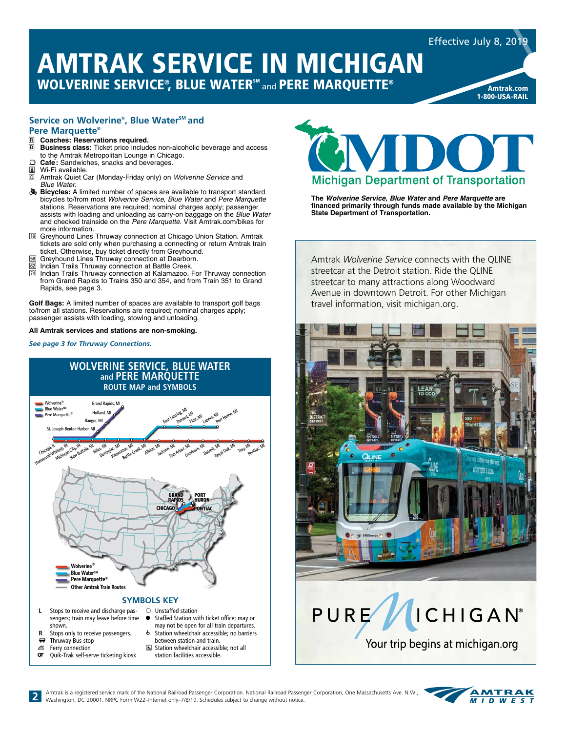Effective July 8, 2019

Amtrak.com 1-800-USA-RAIL

## AMTRAK SERVICE IN MICHIGAN WOLVERINE SERVICE®, BLUE WATER℠and PERE MARQUETTE®

#### **Service on Wolverine®, Blue Water**<sup>sM</sup> and **Pere Marquette®**

- **R Coaches: Reservations required.**<br>**R Business class:** Ticket price include Business class: Ticket price includes non-alcoholic beverage and access to the Amtrak Metropolitan Lounge in Chicago.
- Cafe: Sandwiches, snacks and beverages.
- S Wi-Fi available.<br><sup>[Q]</sup> Amtrak Quiet C
- Amtrak Quiet Car (Monday-Friday only) on *Wolverine Service* and *Blue Water*.
- $\clubsuit$  **Bicycles:** A limited number of spaces are available to transport standard bicycles to/from most *Wolverine Service, Blue Water* and *Pere Marquette* stations. Reservations are required; nominal charges apply; passenger assists with loading and unloading as carry-on baggage on the *Blue Water*  and checked trainside on the *Pere Marquette.* Visit Amtrak.com/bikes for more information.
- 18 Greyhound Lines Thruway connection at Chicago Union Station. Amtrak tickets are sold only when purchasing a connecting or return Amtrak train ticket. Otherwise, buy ticket directly from Greyhound.
- Greyhound Lines Thruway connection at Dearborn.
- <sup>32</sup> Indian Trails Thruway connection at Battle Creek.<br><sup>74</sup> Indian Trails Thruway connection at Kalamazoo. F
- Indian Trails Thruway connection at Kalamazoo. For Thruway connection from Grand Rapids to Trains 350 and 354, and from Train 351 to Grand Rapids, see page 3.

Golf Bags: A limited number of spaces are available to transport golf bags to/from all stations. Reservations are required; nominal charges apply; passenger assists with loading, stowing and unloading.

#### **All Amtrak services and stations are non-smoking.**

*See page 3 for Thruway Connections.*





**The** *Wolverine Service, Blue Water* **and** *Pere Marquette* **are financed primarily through funds made available by the Michigan State Department of Transportation.**

Amtrak *Wolverine Service* connects with the QLINE streetcar at the Detroit station. Ride the QLINE streetcar to many attractions along Woodward Avenue in downtown Detroit. For other Michigan travel information, visit michigan.org.



 $\sigma$ Quik-Trak self-serve ticketing kiosk

Thruway Bus stop Ferry connection

**CO** i fili

- **图 Station wheelchair accessible; not all** between station and train.
- station facilities accessible.

2 Amtrak is a registered service mark of the National Railroad Passenger Corporation. National Railroad Passenger Corporation, One Massachusetts Ave. N.W., Washington, DC 20001. NRPC Form W22-Internet only-7/8/19. Schedule